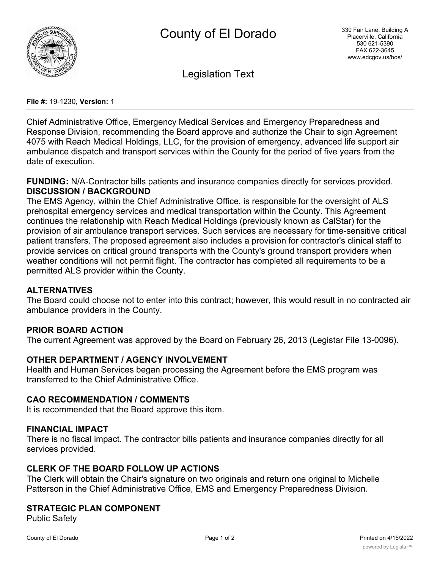

Legislation Text

**File #:** 19-1230, **Version:** 1

Chief Administrative Office, Emergency Medical Services and Emergency Preparedness and Response Division, recommending the Board approve and authorize the Chair to sign Agreement 4075 with Reach Medical Holdings, LLC, for the provision of emergency, advanced life support air ambulance dispatch and transport services within the County for the period of five years from the date of execution.

**FUNDING:** N/A-Contractor bills patients and insurance companies directly for services provided. **DISCUSSION / BACKGROUND**

The EMS Agency, within the Chief Administrative Office, is responsible for the oversight of ALS prehospital emergency services and medical transportation within the County. This Agreement continues the relationship with Reach Medical Holdings (previously known as CalStar) for the provision of air ambulance transport services. Such services are necessary for time-sensitive critical patient transfers. The proposed agreement also includes a provision for contractor's clinical staff to provide services on critical ground transports with the County's ground transport providers when weather conditions will not permit flight. The contractor has completed all requirements to be a permitted ALS provider within the County.

## **ALTERNATIVES**

The Board could choose not to enter into this contract; however, this would result in no contracted air ambulance providers in the County.

## **PRIOR BOARD ACTION**

The current Agreement was approved by the Board on February 26, 2013 (Legistar File 13-0096).

#### **OTHER DEPARTMENT / AGENCY INVOLVEMENT**

Health and Human Services began processing the Agreement before the EMS program was transferred to the Chief Administrative Office.

### **CAO RECOMMENDATION / COMMENTS**

It is recommended that the Board approve this item.

#### **FINANCIAL IMPACT**

There is no fiscal impact. The contractor bills patients and insurance companies directly for all services provided.

## **CLERK OF THE BOARD FOLLOW UP ACTIONS**

The Clerk will obtain the Chair's signature on two originals and return one original to Michelle Patterson in the Chief Administrative Office, EMS and Emergency Preparedness Division.

#### **STRATEGIC PLAN COMPONENT**

Public Safety